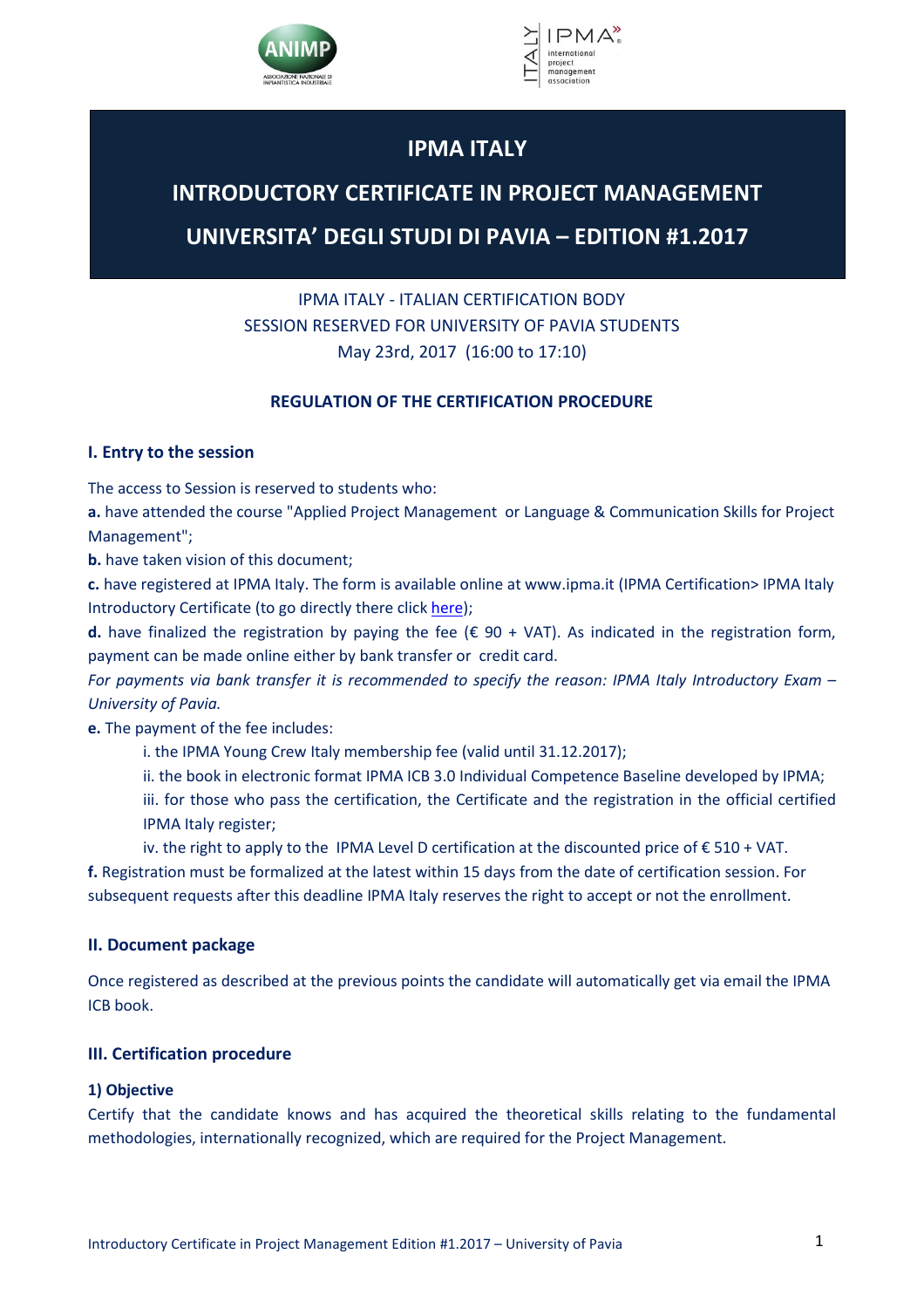



# **IPMA ITALY**

# **INTRODUCTORY CERTIFICATE IN PROJECT MANAGEMENT**

# **UNIVERSITA' DEGLI STUDI DI PAVIA – EDITION #1.2017**

# IPMA ITALY - ITALIAN CERTIFICATION BODY SESSION RESERVED FOR UNIVERSITY OF PAVIA STUDENTS May 23rd, 2017 (16:00 to 17:10)

# **REGULATION OF THE CERTIFICATION PROCEDURE**

# **I. Entry to the session**

The access to Session is reserved to students who:

**a.** have attended the course "Applied Project Management or Language & Communication Skills for Project Management";

**b.** have taken vision of this document;

**c.** have registered at IPMA Italy. The form is available online at www.ipma.it (IPMA Certification> IPMA Italy Introductory Certificate (to go directly there clic[k here\)](http://ipma.it/ipma_/index.php/certificazioni-ipma/ipma-italy-introductory-certificate);

**d.** have finalized the registration by paying the fee ( $\epsilon$  90 + VAT). As indicated in the registration form, payment can be made online either by bank transfer or credit card.

*For payments via bank transfer it is recommended to specify the reason: IPMA Italy Introductory Exam – University of Pavia.*

**e.** The payment of the fee includes:

- i. the IPMA Young Crew Italy membership fee (valid until 31.12.2017);
- ii. the book in electronic format IPMA ICB 3.0 Individual Competence Baseline developed by IPMA;

iii. for those who pass the certification, the Certificate and the registration in the official certified IPMA Italy register;

iv. the right to apply to the IPMA Level D certification at the discounted price of  $\epsilon$  510 + VAT. **f.** Registration must be formalized at the latest within 15 days from the date of certification session. For subsequent requests after this deadline IPMA Italy reserves the right to accept or not the enrollment.

# **II. Document package**

Once registered as described at the previous points the candidate will automatically get via email the IPMA ICB book.

# **III. Certification procedure**

# **1) Objective**

Certify that the candidate knows and has acquired the theoretical skills relating to the fundamental methodologies, internationally recognized, which are required for the Project Management.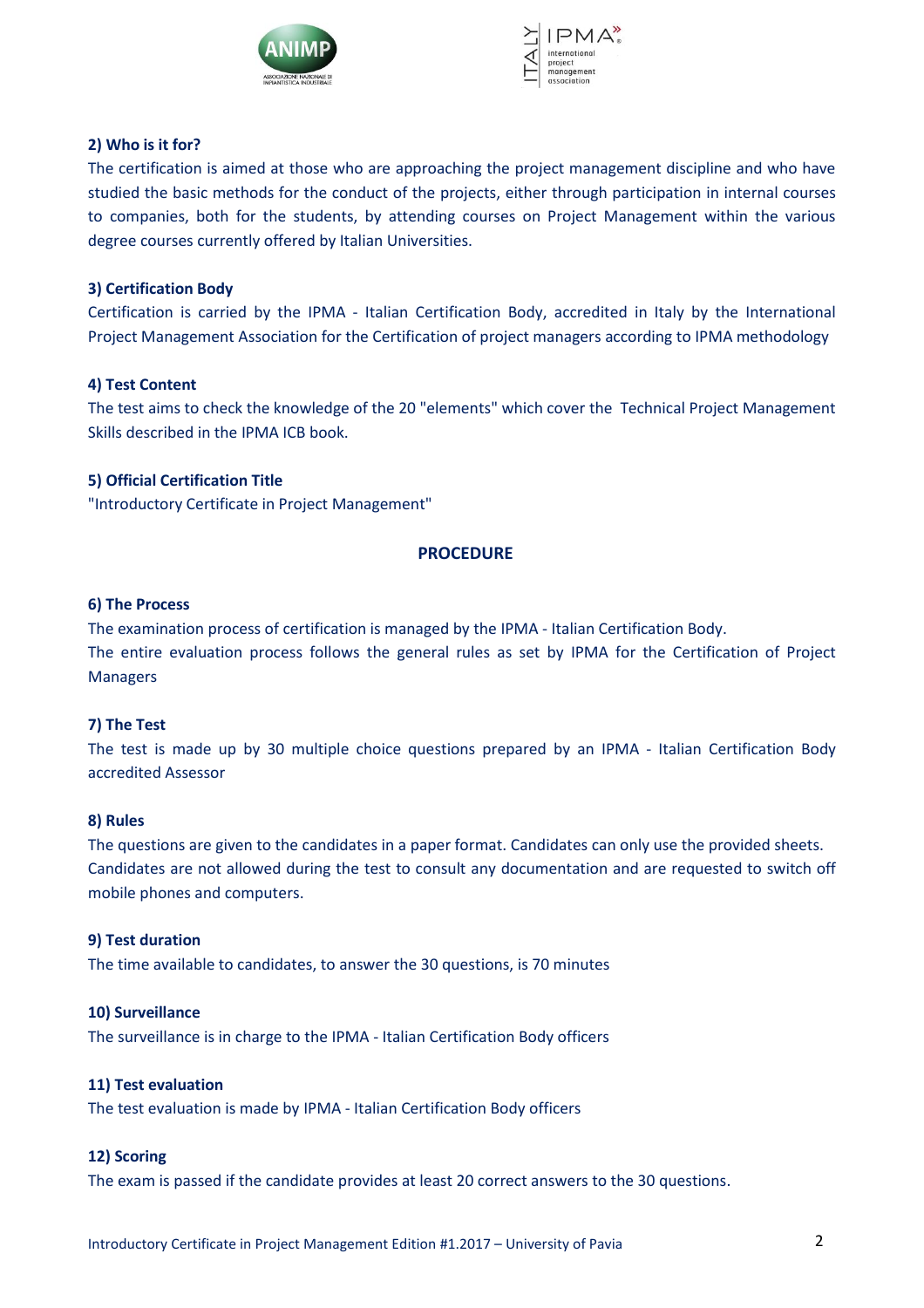



#### **2) Who is it for?**

The certification is aimed at those who are approaching the project management discipline and who have studied the basic methods for the conduct of the projects, either through participation in internal courses to companies, both for the students, by attending courses on Project Management within the various degree courses currently offered by Italian Universities.

#### **3) Certification Body**

Certification is carried by the IPMA - Italian Certification Body, accredited in Italy by the International Project Management Association for the Certification of project managers according to IPMA methodology

#### **4) Test Content**

The test aims to check the knowledge of the 20 "elements" which cover the Technical Project Management Skills described in the IPMA ICB book.

## **5) Official Certification Title**

"Introductory Certificate in Project Management"

## **PROCEDURE**

#### **6) The Process**

The examination process of certification is managed by the IPMA - Italian Certification Body. The entire evaluation process follows the general rules as set by IPMA for the Certification of Project Managers

#### **7) The Test**

The test is made up by 30 multiple choice questions prepared by an IPMA - Italian Certification Body accredited Assessor

#### **8) Rules**

The questions are given to the candidates in a paper format. Candidates can only use the provided sheets. Candidates are not allowed during the test to consult any documentation and are requested to switch off mobile phones and computers.

#### **9) Test duration**

The time available to candidates, to answer the 30 questions, is 70 minutes

#### **10) Surveillance**

The surveillance is in charge to the IPMA - Italian Certification Body officers

#### **11) Test evaluation**

The test evaluation is made by IPMA - Italian Certification Body officers

#### **12) Scoring**

The exam is passed if the candidate provides at least 20 correct answers to the 30 questions.